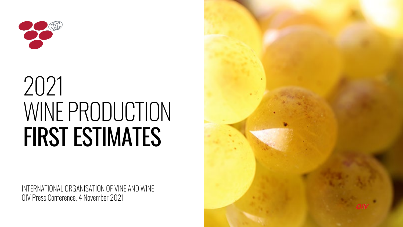

# 2021 WINE PRODUCTION FIRST ESTIMATES

INTERNATIONAL ORGANISATION OF VINE AND WINE OIV Press Conference, 4 November 2021

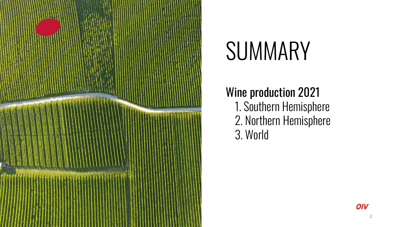

# **SUMMARY**

### Wine production 2021

1. Southern Hemisphere 2. Northern Hemisphere 3. World

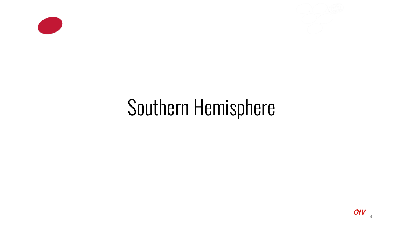



## Southern Hemisphere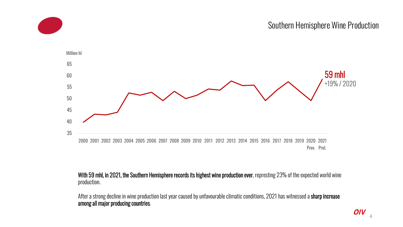

#### With 59 mhl, in 2021, the Southern Hemisphere records its highest wine production ever, represting 23% of the expected world wine production.

After a strong decline in wine production last year caused by unfavourable climatic conditions, 2021 has witnessed a sharp increase among all major producing countries.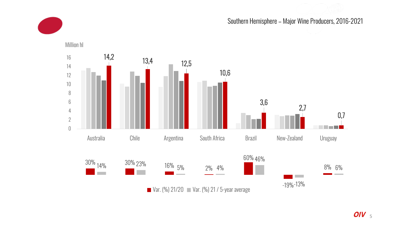

#### Southern Hemisphere – Major Wine Producers, 2016-2021

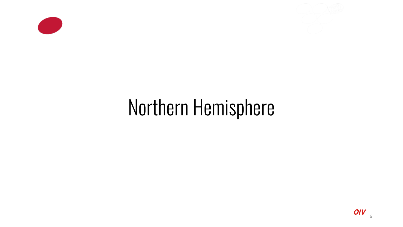



## Northern Hemisphere

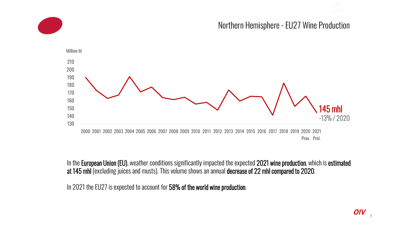Northern Hemisphere- EU27 Wine Production



In the European Union (EU), weather conditions significantly impacted the expected 2021 wine production, which is estimated at 145 mhl (excluding juices and musts). This volume shows an annual decrease of 22 mhl compared to 2020.

In 2021 the EU27 is expected to account for 58% of the world wine production.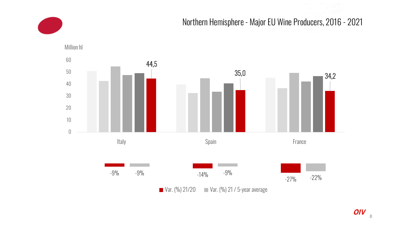### Northern Hemisphere- Major EU Wine Producers, 2016 - 2021

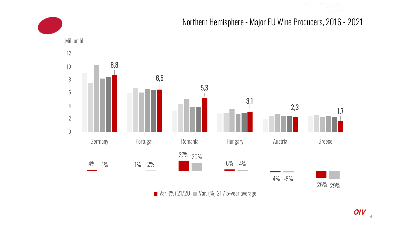#### Northern Hemisphere- Major EU Wine Producers, 2016 - 2021 4% 1% 37% 29%  $6\%$ -4% -5% -26% -29% 1% 2% 4% 8,8 6,5 5,3  $\begin{array}{ccc} 3,1 & & 2,3 & 1,7 \end{array}$ 0 2 4 6 8 10 12 Germany Portugal Romania Hungary Austria Greece Million hl

**Var.** (%) 21/20 **Var.** (%) 21 / 5-year average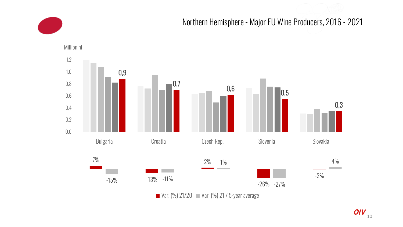



**Var.** (%)  $21/20$  **Var.** (%)  $21/5$ -year average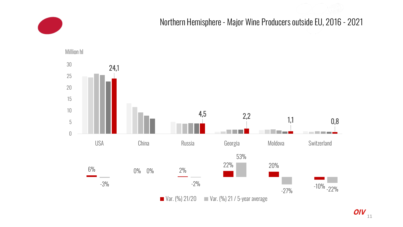

Northern Hemisphere - Major Wine Producers outside EU, 2016 - 2021

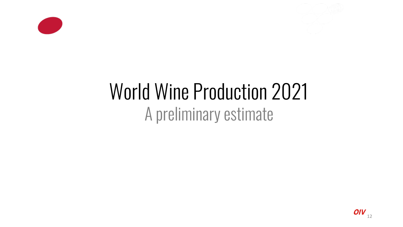



### World Wine Production 2021 A preliminary estimate